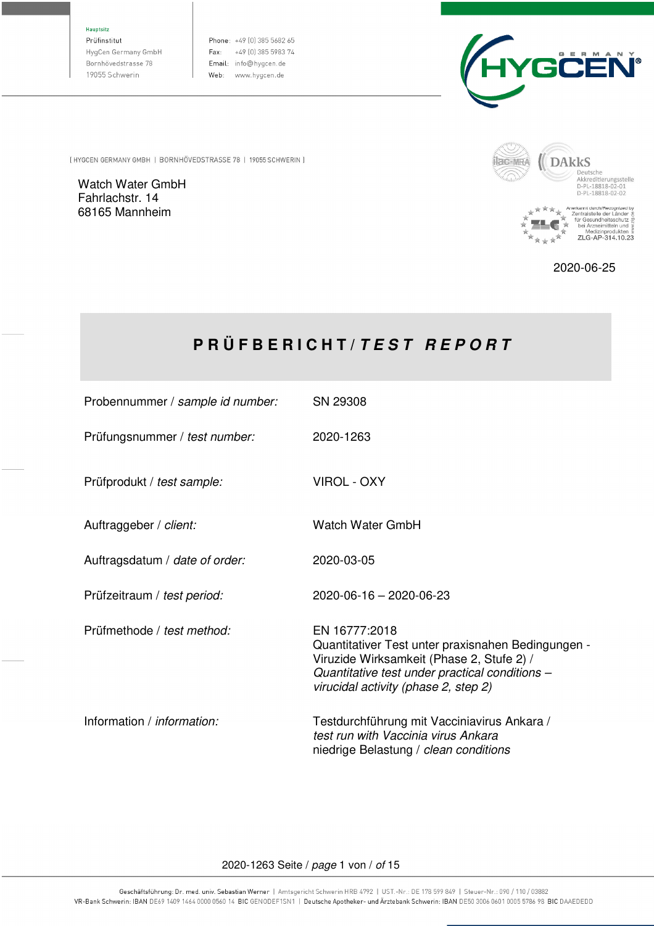Hauptsitz

Prüfinstitut HygCen Germany GmbH Bornhövedstrasse 78 19055 Schwerin

Phone: +49 (0) 385 5682 65 Fax: +49 (0) 385 5983 74 Email: info@hygcen.de Web: www.hygcen.de



[HYGCEN GERMANY GMBH | BORNHÖVEDSTRASSE 78 | 19055 SCHWERIN ]

Watch Water GmbH Fahrlachstr. 14 68165 Mannheim



 $\mathbb{R}^2$ 

2020-06-25

# **P R Ü F B E R I C H T /** *T E S T R E P O R T*

| Probennummer / sample id number:  | SN 29308                                                                                                                                                                                                   |
|-----------------------------------|------------------------------------------------------------------------------------------------------------------------------------------------------------------------------------------------------------|
| Prüfungsnummer / test number:     | 2020-1263                                                                                                                                                                                                  |
| Prüfprodukt / test sample:        | VIROL - OXY                                                                                                                                                                                                |
| Auftraggeber / client:            | <b>Watch Water GmbH</b>                                                                                                                                                                                    |
| Auftragsdatum / date of order:    | 2020-03-05                                                                                                                                                                                                 |
| Prüfzeitraum / test period:       | 2020-06-16 - 2020-06-23                                                                                                                                                                                    |
| Prüfmethode / test method:        | EN 16777:2018<br>Quantitativer Test unter praxisnahen Bedingungen -<br>Viruzide Wirksamkeit (Phase 2, Stufe 2) /<br>Quantitative test under practical conditions -<br>virucidal activity (phase 2, step 2) |
| Information / <i>information:</i> | Testdurchführung mit Vacciniavirus Ankara /<br>test run with Vaccinia virus Ankara<br>niedrige Belastung / clean conditions                                                                                |

2020-1263 Seite / page 1 von / of 15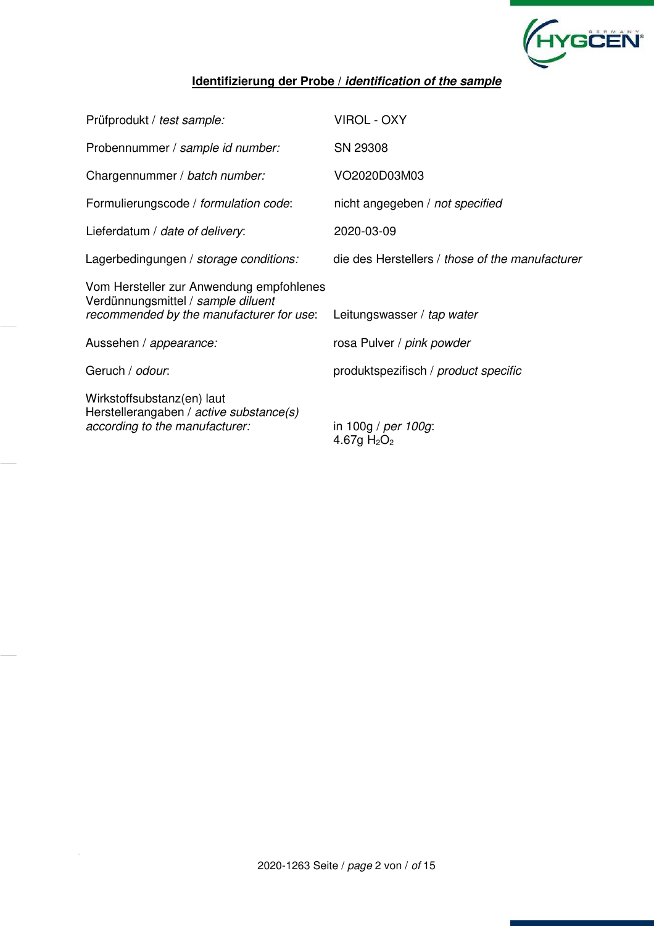

## **Identifizierung der Probe /** *identification of the sample*

| Prüfprodukt / test sample:                                                                                                 | <b>VIROL - OXY</b>                              |
|----------------------------------------------------------------------------------------------------------------------------|-------------------------------------------------|
| Probennummer / sample id number:                                                                                           | SN 29308                                        |
| Chargennummer / batch number:                                                                                              | VO2020D03M03                                    |
| Formulierungscode / formulation code:                                                                                      | nicht angegeben / not specified                 |
| Lieferdatum / date of delivery:                                                                                            | 2020-03-09                                      |
| Lagerbedingungen / storage conditions:                                                                                     | die des Herstellers / those of the manufacturer |
| Vom Hersteller zur Anwendung empfohlenes<br>Verdünnungsmittel / sample diluent<br>recommended by the manufacturer for use: | Leitungswasser / tap water                      |
| Aussehen / appearance:                                                                                                     | rosa Pulver / pink powder                       |
| Geruch / odour.                                                                                                            | produktspezifisch / product specific            |
| Wirkstoffsubstanz(en) laut<br>Herstellerangaben / active substance(s)<br>according to the manufacturer:                    | in 100g / per 100g:<br>4.67g $H_2O_2$           |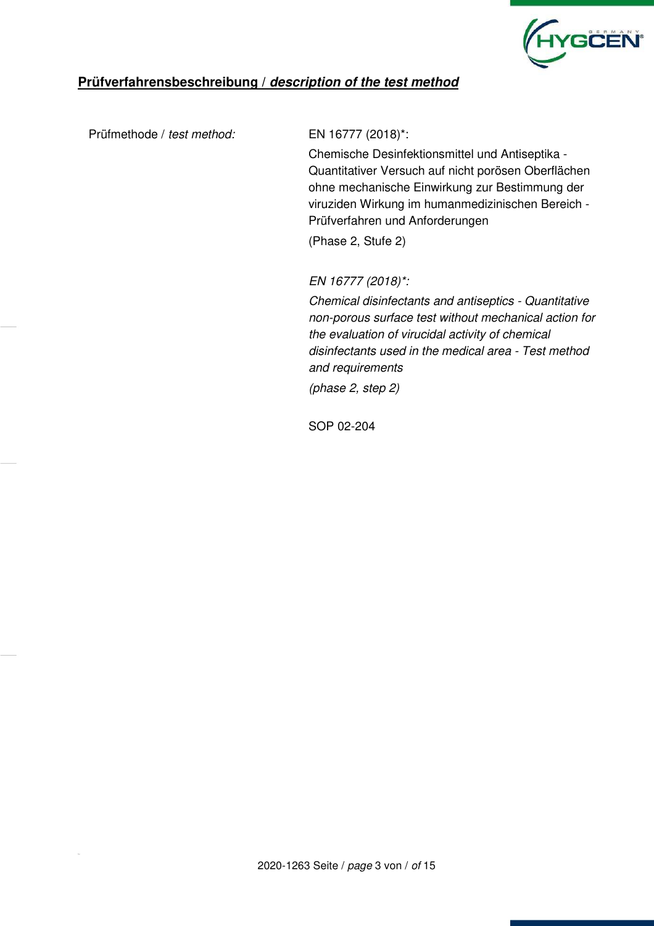

## **Prüfverfahrensbeschreibung /** *description of the test method*

Prüfmethode / test method: EN 16777 (2018)\*:

Chemische Desinfektionsmittel und Antiseptika - Quantitativer Versuch auf nicht porösen Oberflächen ohne mechanische Einwirkung zur Bestimmung der viruziden Wirkung im humanmedizinischen Bereich - Prüfverfahren und Anforderungen

(Phase 2, Stufe 2)

EN 16777 (2018)\*:

Chemical disinfectants and antiseptics - Quantitative non-porous surface test without mechanical action for the evaluation of virucidal activity of chemical disinfectants used in the medical area - Test method and requirements

(phase 2, step 2)

SOP 02-204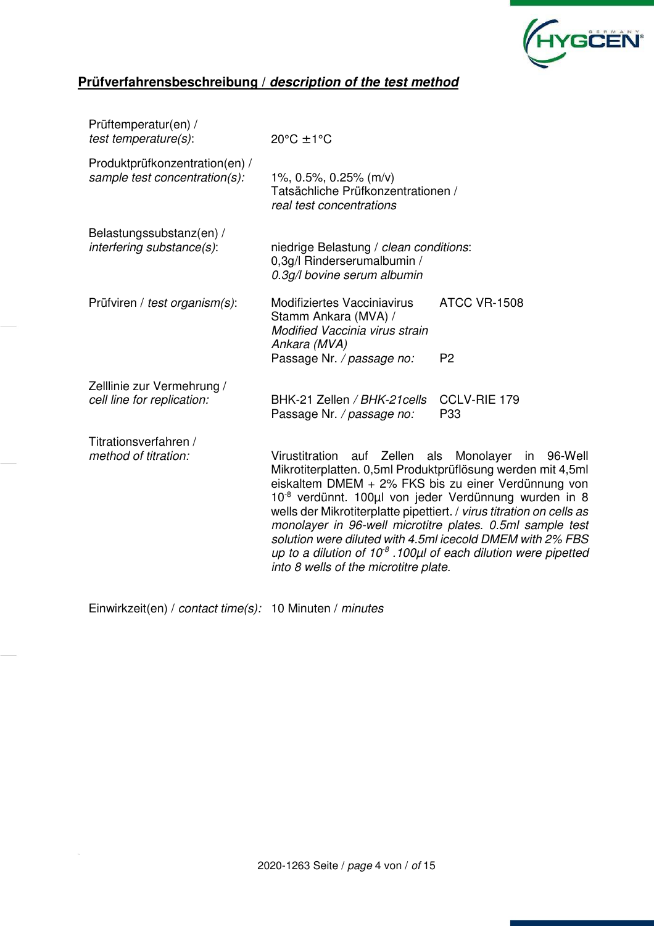

# **Prüfverfahrensbeschreibung /** *description of the test method*

| Prüftemperatur(en) /<br>test temperature(s):                    | $20^{\circ}$ C ± 1 $^{\circ}$ C                                                                                                                                                                                                                                                                                                                                                                                                                                                                                                                          |                                       |
|-----------------------------------------------------------------|----------------------------------------------------------------------------------------------------------------------------------------------------------------------------------------------------------------------------------------------------------------------------------------------------------------------------------------------------------------------------------------------------------------------------------------------------------------------------------------------------------------------------------------------------------|---------------------------------------|
| Produktprüfkonzentration(en) /<br>sample test concentration(s): | 1%, 0.5%, 0.25% (m/v)<br>Tatsächliche Prüfkonzentrationen /<br>real test concentrations                                                                                                                                                                                                                                                                                                                                                                                                                                                                  |                                       |
| Belastungssubstanz(en) /<br>interfering substance(s):           | niedrige Belastung / clean conditions:<br>0,3g/l Rinderserumalbumin /<br>0.3g/l bovine serum albumin                                                                                                                                                                                                                                                                                                                                                                                                                                                     |                                       |
| Prüfviren / test organism(s):                                   | Modifiziertes Vacciniavirus<br>Stamm Ankara (MVA) /<br>Modified Vaccinia virus strain<br>Ankara (MVA)<br>Passage Nr. / passage no:                                                                                                                                                                                                                                                                                                                                                                                                                       | <b>ATCC VR-1508</b><br>P <sub>2</sub> |
| Zelllinie zur Vermehrung /<br>cell line for replication:        | BHK-21 Zellen / BHK-21 cells<br>Passage Nr. / passage no:                                                                                                                                                                                                                                                                                                                                                                                                                                                                                                | CCLV-RIE 179<br>P33                   |
| Titrationsverfahren /<br>method of titration:                   | Virustitration auf Zellen als Monolayer<br>Mikrotiterplatten. 0,5ml Produktprüflösung werden mit 4,5ml<br>eiskaltem DMEM + 2% FKS bis zu einer Verdünnung von<br>10 <sup>-8</sup> verdünnt. 100µl von jeder Verdünnung wurden in 8<br>wells der Mikrotiterplatte pipettiert. / virus titration on cells as<br>monolayer in 96-well microtitre plates. 0.5ml sample test<br>solution were diluted with 4.5ml icecold DMEM with 2% FBS<br>up to a dilution of 10 $^8$ .100 $\mu$ l of each dilution were pipetted<br>into 8 wells of the microtitre plate. | in 96-Well                            |

Einwirkzeit(en) / contact time(s): 10 Minuten / minutes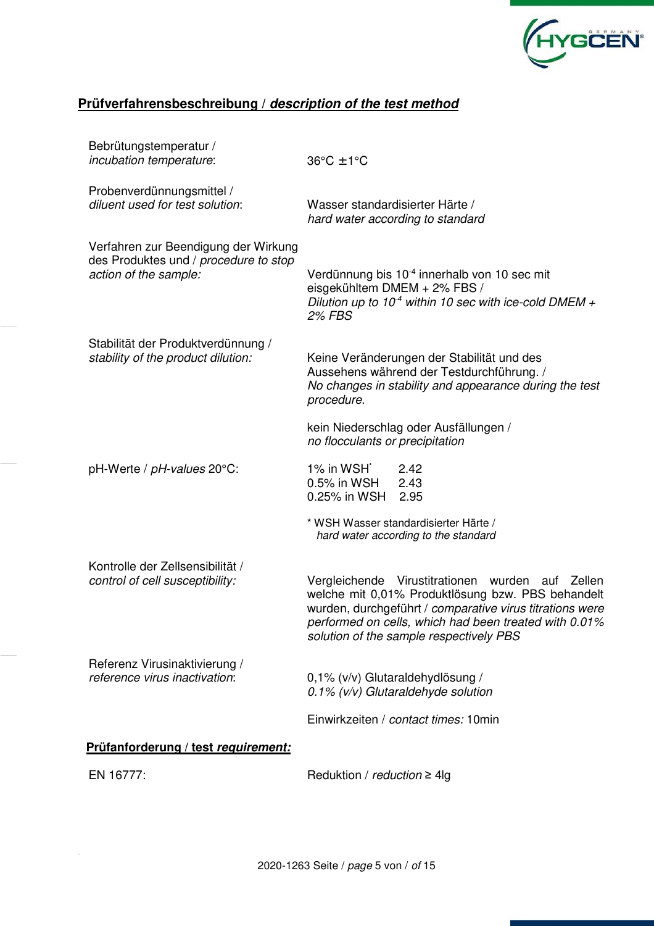

# **Prüfverfahrensbeschreibung /** *description of the test method*

| Bebrütungstemperatur /<br><i>incubation temperature:</i>                                               | $36^{\circ}$ C ± 1°C                                                                                                                                                                                                                                                     |  |  |  |  |
|--------------------------------------------------------------------------------------------------------|--------------------------------------------------------------------------------------------------------------------------------------------------------------------------------------------------------------------------------------------------------------------------|--|--|--|--|
| Probenverdünnungsmittel /<br>diluent used for test solution:                                           | Wasser standardisierter Härte /<br>hard water according to standard                                                                                                                                                                                                      |  |  |  |  |
| Verfahren zur Beendigung der Wirkung<br>des Produktes und / procedure to stop<br>action of the sample: | Verdünnung bis 10 <sup>-4</sup> innerhalb von 10 sec mit<br>eisgekühltem DMEM + 2% FBS /<br>Dilution up to 10 <sup>-4</sup> within 10 sec with ice-cold DMEM +<br><b>2% FBS</b>                                                                                          |  |  |  |  |
| Stabilität der Produktverdünnung /<br>stability of the product dilution:                               | Keine Veränderungen der Stabilität und des<br>Aussehens während der Testdurchführung. /<br>No changes in stability and appearance during the test<br>procedure.                                                                                                          |  |  |  |  |
|                                                                                                        | kein Niederschlag oder Ausfällungen /<br>no flocculants or precipitation                                                                                                                                                                                                 |  |  |  |  |
| pH-Werte / pH-values 20°C:                                                                             | 1% in WSH <sup>*</sup><br>2.42<br>$0.5\%$ in WSH<br>2.43<br>0.25% in WSH<br>2.95                                                                                                                                                                                         |  |  |  |  |
|                                                                                                        | * WSH Wasser standardisierter Härte /<br>hard water according to the standard                                                                                                                                                                                            |  |  |  |  |
| Kontrolle der Zellsensibilität /<br>control of cell susceptibility:                                    | Vergleichende Virustitrationen wurden<br>auf Zellen<br>welche mit 0,01% Produktlösung bzw. PBS behandelt<br>wurden, durchgeführt / comparative virus titrations were<br>performed on cells, which had been treated with 0.01%<br>solution of the sample respectively PBS |  |  |  |  |
| Referenz Virusinaktivierung /<br>reference virus inactivation:                                         | 0,1% (v/v) Glutaraldehydlösung /<br>$0.1\%$ (v/v) Glutaraldehyde solution                                                                                                                                                                                                |  |  |  |  |
|                                                                                                        | Einwirkzeiten / contact times: 10min                                                                                                                                                                                                                                     |  |  |  |  |
| Prüfanforderung / test requirement:                                                                    |                                                                                                                                                                                                                                                                          |  |  |  |  |
| EN 16777:                                                                                              | Reduktion / $reduction \geq 4$ lg                                                                                                                                                                                                                                        |  |  |  |  |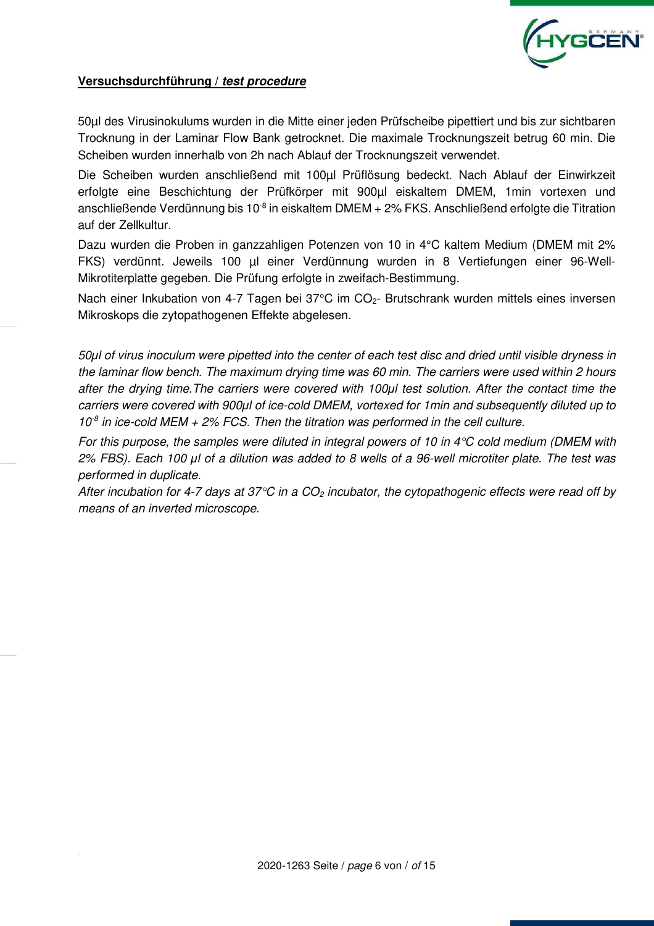

### **Versuchsdurchführung /** *test procedure*

50µl des Virusinokulums wurden in die Mitte einer jeden Prüfscheibe pipettiert und bis zur sichtbaren Trocknung in der Laminar Flow Bank getrocknet. Die maximale Trocknungszeit betrug 60 min. Die Scheiben wurden innerhalb von 2h nach Ablauf der Trocknungszeit verwendet.

Die Scheiben wurden anschließend mit 100µl Prüflösung bedeckt. Nach Ablauf der Einwirkzeit erfolgte eine Beschichtung der Prüfkörper mit 900µl eiskaltem DMEM, 1min vortexen und anschließende Verdünnung bis 10 $^8$  in eiskaltem DMEM + 2% FKS. Anschließend erfolgte die Titration auf der Zellkultur.

Dazu wurden die Proben in ganzzahligen Potenzen von 10 in 4°C kaltem Medium (DMEM mit 2% FKS) verdünnt. Jeweils 100 µl einer Verdünnung wurden in 8 Vertiefungen einer 96-Well-Mikrotiterplatte gegeben. Die Prüfung erfolgte in zweifach-Bestimmung.

Nach einer Inkubation von 4-7 Tagen bei 37°C im CO<sub>2</sub>- Brutschrank wurden mittels eines inversen Mikroskops die zytopathogenen Effekte abgelesen.

50*μ*l of virus inoculum were pipetted into the center of each test disc and dried until visible dryness in the laminar flow bench. The maximum drying time was 60 min. The carriers were used within 2 hours after the drying time.The carriers were covered with 100*μ*l test solution. After the contact time the carriers were covered with 900*μ*l of ice-cold DMEM, vortexed for 1min and subsequently diluted up to  $10<sup>8</sup>$  in ice-cold MEM + 2% FCS. Then the titration was performed in the cell culture.

For this purpose, the samples were diluted in integral powers of 10 in  $4^{\circ}$ C cold medium (DMEM with 2% FBS). Each 100 *μ*l of a dilution was added to 8 wells of a 96-well microtiter plate. The test was performed in duplicate.

After incubation for 4-7 days at 37 $\degree$ C in a CO<sub>2</sub> incubator, the cytopathogenic effects were read off by means of an inverted microscope.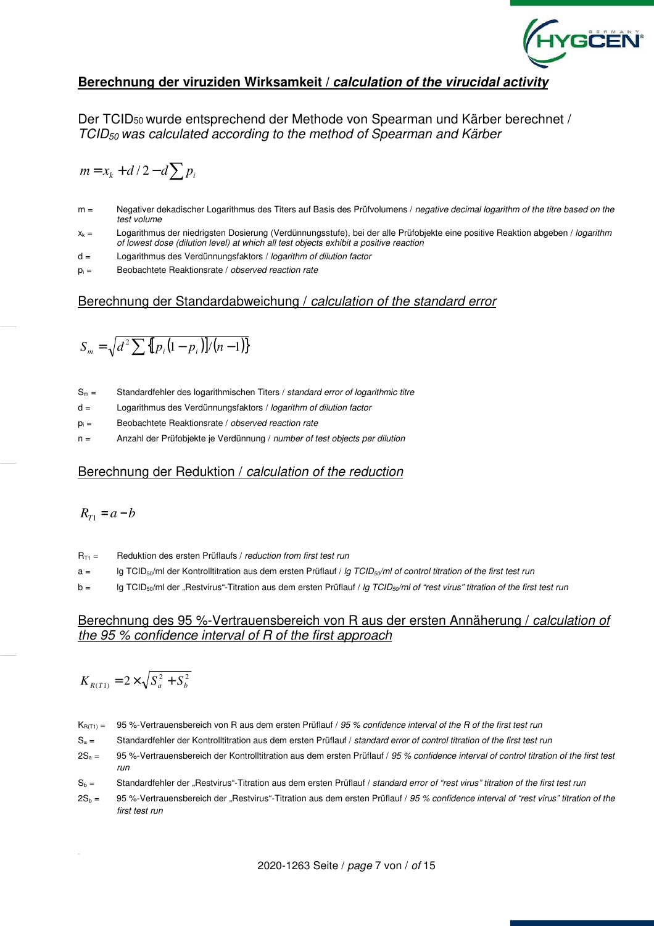

### **Berechnung der viruziden Wirksamkeit /** *calculation of the virucidal activity*

Der TCID50 wurde entsprechend der Methode von Spearman und Kärber berechnet / TCID50 was calculated according to the method of Spearman and Kärber

$$
m = x_k + d/2 - d \sum p_i
$$

- m = Negativer dekadischer Logarithmus des Titers auf Basis des Prüfvolumens / negative decimal logarithm of the titre based on the test volume
- x<sub>k</sub> = Logarithmus der niedrigsten Dosierung (Verdünnungsstufe), bei der alle Prüfobjekte eine positive Reaktion abgeben / logarithm of lowest dose (dilution level) at which all test objects exhibit a positive reaction
- d = Logarithmus des Verdünnungsfaktors / logarithm of dilution factor
- $p_i =$  Beobachtete Reaktionsrate / observed reaction rate

#### Berechnung der Standardabweichung / calculation of the standard error

$$
S_m = \sqrt{d^2 \sum \{p_i (1 - p_i)\} / (n - 1)\}}
$$

- $S_m =$  Standardfehler des logarithmischen Titers / standard error of logarithmic titre
- d = Logarithmus des Verdünnungsfaktors / logarithm of dilution factor
- $p_i =$ Beobachtete Reaktionsrate / observed reaction rate
- n = Anzahl der Prüfobjekte je Verdünnung / number of test objects per dilution

#### Berechnung der Reduktion / calculation of the reduction

$$
R_{T1}=a-b
$$

- $R_{T1}$  = Reduktion des ersten Prüflaufs / reduction from first test run
- $a =$  Ig TCID<sub>50</sub>/ml der Kontrolltitration aus dem ersten Prüflauf / *lg TCID<sub>50</sub>/ml of control titration of the first test run*
- $b =$  lg TCID<sub>50</sub>/ml der "Restvirus"-Titration aus dem ersten Prüflauf / lg TCID<sub>50</sub>/ml of "rest virus" titration of the first test run

#### Berechnung des 95 %-Vertrauensbereich von R aus der ersten Annäherung / calculation of the 95 % confidence interval of R of the first approach

$$
K_{\scriptscriptstyle R(T1)}=2\!\times\!\sqrt{S_a^{\,2}+S_b^{\,2}}
$$

 $K_{R(T1)} = 95$  %-Vertrauensbereich von R aus dem ersten Prüflauf / 95 % confidence interval of the R of the first test run

- $S_a =$  Standardfehler der Kontrolltitration aus dem ersten Prüflauf / standard error of control titration of the first test run
- $2S_a = 95$ %-Vertrauensbereich der Kontrolltitration aus dem ersten Prüflauf / 95 % confidence interval of control titration of the first test run
- $S_h$  = Standardfehler der "Restvirus"-Titration aus dem ersten Prüflauf / standard error of "rest virus" titration of the first test run
- $2S_b = 95$  %-Vertrauensbereich der "Restvirus"-Titration aus dem ersten Prüflauf / 95 % confidence interval of "rest virus" titration of the first test run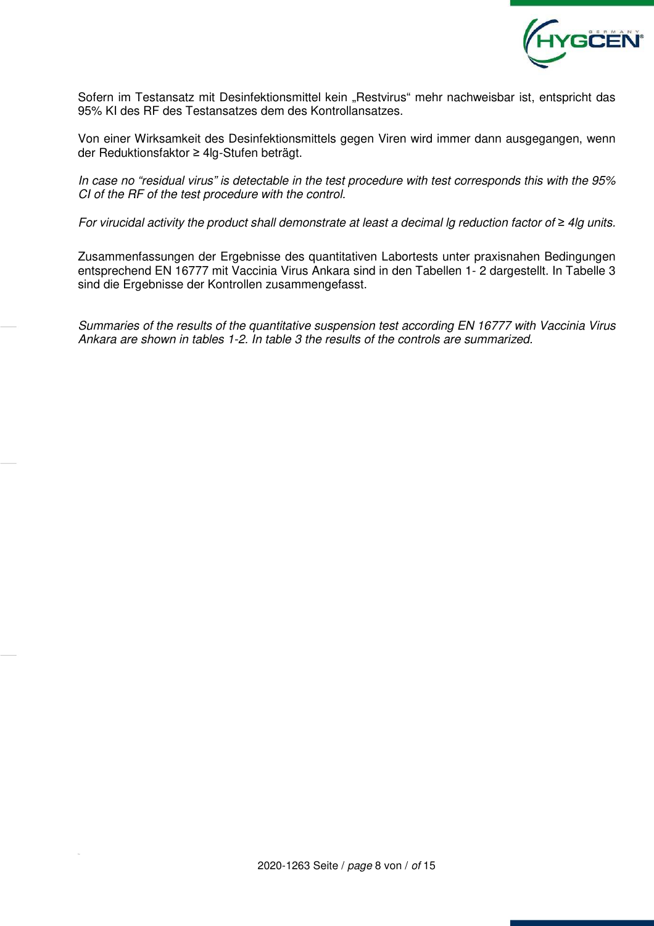

Sofern im Testansatz mit Desinfektionsmittel kein "Restvirus" mehr nachweisbar ist, entspricht das 95% KI des RF des Testansatzes dem des Kontrollansatzes.

Von einer Wirksamkeit des Desinfektionsmittels gegen Viren wird immer dann ausgegangen, wenn der Reduktionsfaktor ≥ 4lg-Stufen beträgt.

In case no "residual virus" is detectable in the test procedure with test corresponds this with the 95% CI of the RF of the test procedure with the control.

For virucidal activity the product shall demonstrate at least a decimal lg reduction factor of *≥* 4lg units.

Zusammenfassungen der Ergebnisse des quantitativen Labortests unter praxisnahen Bedingungen entsprechend EN 16777 mit Vaccinia Virus Ankara sind in den Tabellen 1- 2 dargestellt. In Tabelle 3 sind die Ergebnisse der Kontrollen zusammengefasst.

Summaries of the results of the quantitative suspension test according EN 16777 with Vaccinia Virus Ankara are shown in tables 1-2. In table 3 the results of the controls are summarized.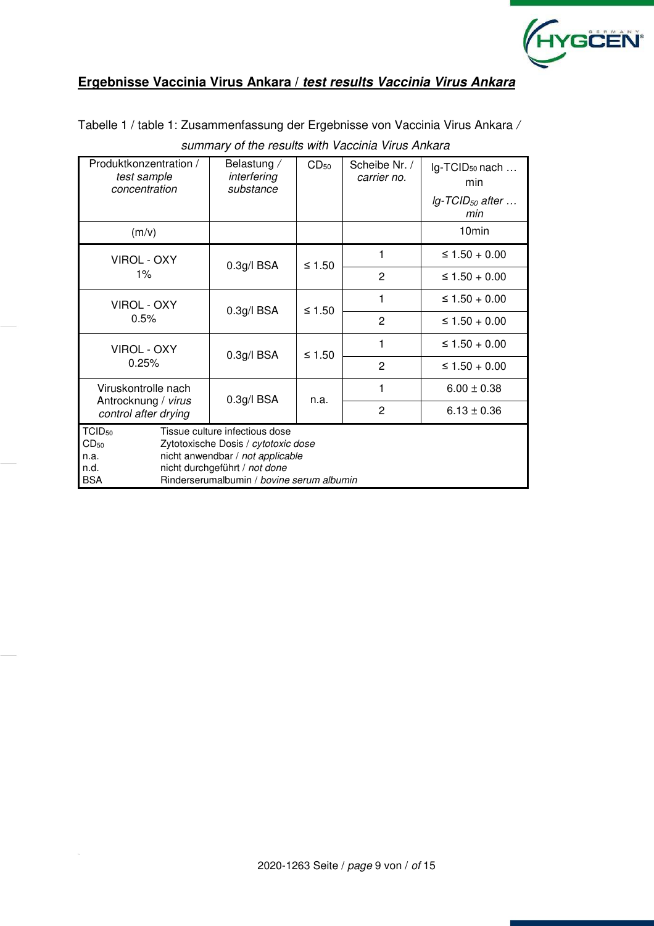

# **Ergebnisse Vaccinia Virus Ankara /** *test results Vaccinia Virus Ankara*

Tabelle 1 / table 1: Zusammenfassung der Ergebnisse von Vaccinia Virus Ankara /

| Produktkonzentration /<br>test sample<br>concentration               | Belastung /<br>interfering<br>substance                                                                                                                                                 | $CD_{50}$ | Scheibe Nr. /<br>carrier no. | lg-TCID <sub>50</sub> nach<br>min<br>$lg$ -TCID <sub>50</sub> after |  |  |
|----------------------------------------------------------------------|-----------------------------------------------------------------------------------------------------------------------------------------------------------------------------------------|-----------|------------------------------|---------------------------------------------------------------------|--|--|
|                                                                      |                                                                                                                                                                                         |           |                              | min                                                                 |  |  |
| (m/v)                                                                |                                                                                                                                                                                         |           |                              | 10 <sub>min</sub>                                                   |  |  |
| VIROL - OXY                                                          | 0.3g/IBSA                                                                                                                                                                               | ≤ 1.50    | 1                            | ≤ $1.50 + 0.00$                                                     |  |  |
| $1\%$                                                                |                                                                                                                                                                                         |           | $\overline{2}$               | $\leq 1.50 + 0.00$                                                  |  |  |
| VIROL - OXY                                                          | 0.3g/IBSA                                                                                                                                                                               | ≤ 1.50    | 1                            | ≤ $1.50 + 0.00$                                                     |  |  |
| 0.5%                                                                 |                                                                                                                                                                                         |           | $\overline{2}$               | ≤ 1.50 + 0.00                                                       |  |  |
| VIROL - OXY                                                          | 0.3g/IBSA                                                                                                                                                                               | ≤ 1.50    | 1                            | ≤ $1.50 + 0.00$                                                     |  |  |
| 0.25%                                                                |                                                                                                                                                                                         |           | $\overline{2}$               | ≤ 1.50 + 0.00                                                       |  |  |
| Viruskontrolle nach<br>Antrocknung / virus                           | 0.3g/IBSA                                                                                                                                                                               | n.a.      | 1                            | $6.00 \pm 0.38$                                                     |  |  |
| control after drying                                                 |                                                                                                                                                                                         |           | $\overline{2}$               | $6.13 \pm 0.36$                                                     |  |  |
| TCID <sub>50</sub><br>CD <sub>50</sub><br>n.a.<br>n.d.<br><b>BSA</b> | Tissue culture infectious dose<br>Zytotoxische Dosis / cytotoxic dose<br>nicht anwendbar / not applicable<br>nicht durchgeführt / not done<br>Rinderserumalbumin / bovine serum albumin |           |                              |                                                                     |  |  |

### summary of the results with Vaccinia Virus Ankara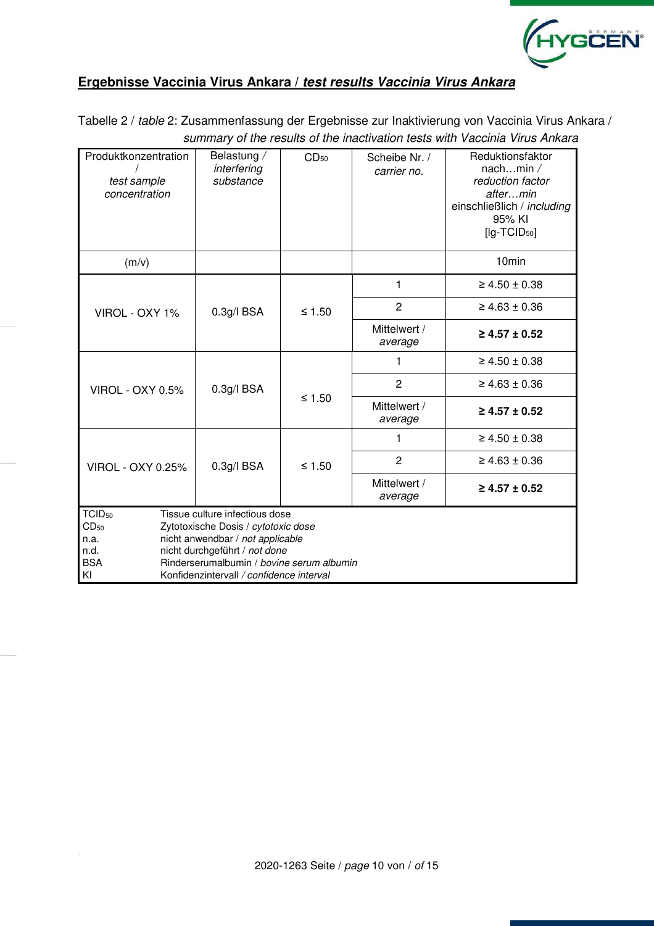

# **Ergebnisse Vaccinia Virus Ankara /** *test results Vaccinia Virus Ankara*

Tabelle 2 / table 2: Zusammenfassung der Ergebnisse zur Inaktivierung von Vaccinia Virus Ankara / summary of the results of the inactivation tests with Vaccinia Virus Ankara

| Produktkonzentration<br>test sample<br>concentration | Belastung /<br>CD <sub>50</sub><br>interfering<br>substance       |          | Scheibe Nr. /<br>carrier no. | Reduktionsfaktor<br>nachmin $\angle$<br>reduction factor<br>aftermin<br>einschließlich / including<br>95% KI<br>$[lg-TCID50]$ |  |  |  |
|------------------------------------------------------|-------------------------------------------------------------------|----------|------------------------------|-------------------------------------------------------------------------------------------------------------------------------|--|--|--|
| (m/v)                                                |                                                                   |          |                              | 10 <sub>min</sub>                                                                                                             |  |  |  |
|                                                      |                                                                   |          | 1                            | $\geq 4.50 \pm 0.38$                                                                                                          |  |  |  |
| VIROL - OXY 1%                                       | $0.3g/l$ BSA                                                      | $≤ 1.50$ | $\overline{c}$               | $\geq 4.63 \pm 0.36$                                                                                                          |  |  |  |
|                                                      |                                                                   |          | Mittelwert /<br>average      | $\geq 4.57 \pm 0.52$                                                                                                          |  |  |  |
|                                                      | 0.3g/IBSA                                                         |          | 1                            | $\geq 4.50 \pm 0.38$                                                                                                          |  |  |  |
| <b>VIROL - OXY 0.5%</b>                              |                                                                   |          | $\overline{2}$               | $\geq 4.63 \pm 0.36$                                                                                                          |  |  |  |
|                                                      |                                                                   | ≤ 1.50   | Mittelwert /<br>average      | $\geq 4.57 \pm 0.52$                                                                                                          |  |  |  |
|                                                      |                                                                   |          | 1                            | $\geq 4.50 \pm 0.38$                                                                                                          |  |  |  |
| <b>VIROL - OXY 0.25%</b>                             | $0.3g/I$ BSA                                                      | $≤ 1.50$ | $\overline{2}$               | $\geq 4.63 \pm 0.36$                                                                                                          |  |  |  |
|                                                      |                                                                   |          | Mittelwert /<br>average      | $\geq$ 4.57 ± 0.52                                                                                                            |  |  |  |
| TCID <sub>50</sub>                                   | Tissue culture infectious dose                                    |          |                              |                                                                                                                               |  |  |  |
| CD <sub>50</sub>                                     | Zytotoxische Dosis / cytotoxic dose                               |          |                              |                                                                                                                               |  |  |  |
| n.a.                                                 | nicht anwendbar / not applicable<br>nicht durchgeführt / not done |          |                              |                                                                                                                               |  |  |  |
| n.d.                                                 |                                                                   |          |                              |                                                                                                                               |  |  |  |
| <b>BSA</b><br>KI                                     | Rinderserumalbumin / bovine serum albumin                         |          |                              |                                                                                                                               |  |  |  |
| Konfidenzintervall / confidence interval             |                                                                   |          |                              |                                                                                                                               |  |  |  |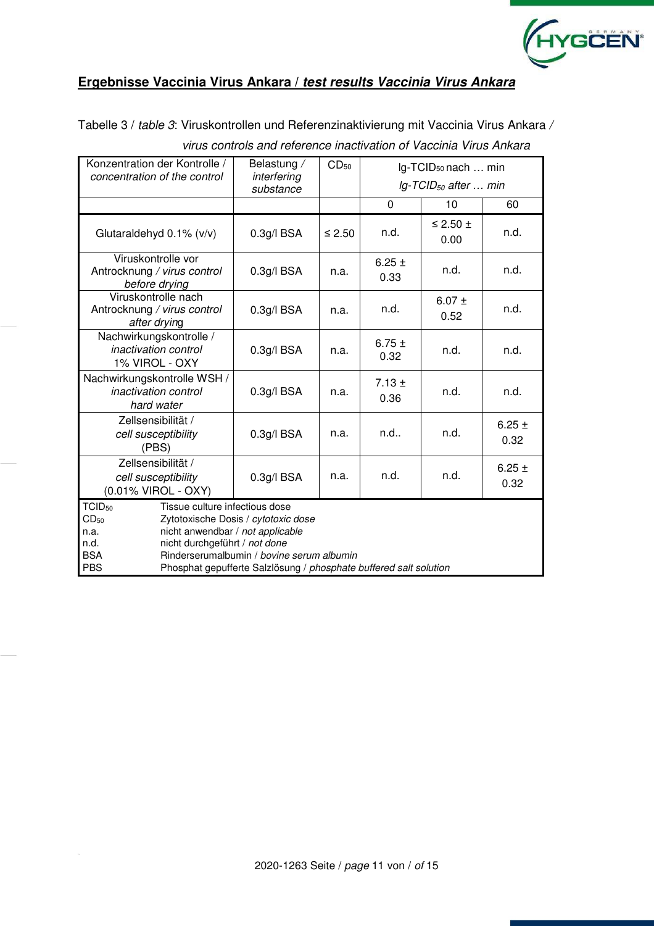

# **Ergebnisse Vaccinia Virus Ankara /** *test results Vaccinia Virus Ankara*

Tabelle 3 / table 3: Viruskontrollen und Referenzinaktivierung mit Vaccinia Virus Ankara /

| Konzentration der Kontrolle /                                                                                                                                                                                                                                                                                                               | Belastung /              | CD <sub>50</sub> | Ig-TCID <sub>50</sub> nach  min     |                           |                    |  |  |
|---------------------------------------------------------------------------------------------------------------------------------------------------------------------------------------------------------------------------------------------------------------------------------------------------------------------------------------------|--------------------------|------------------|-------------------------------------|---------------------------|--------------------|--|--|
| concentration of the control                                                                                                                                                                                                                                                                                                                | interfering<br>substance |                  | $lg$ -TCID <sub>50</sub> after  min |                           |                    |  |  |
|                                                                                                                                                                                                                                                                                                                                             |                          | $\Omega$         |                                     | 10                        | 60                 |  |  |
| Glutaraldehyd $0.1\%$ ( $v/v$ )                                                                                                                                                                                                                                                                                                             | $0.3g/l$ BSA             | $≤ 2.50$         | n.d.                                | $\leq$ 2.50 $\pm$<br>0.00 | n.d.               |  |  |
| Viruskontrolle vor<br>Antrocknung / virus control<br>before drying                                                                                                                                                                                                                                                                          | $0.3g/l$ BSA             | n.a.             | 6.25 $\pm$<br>0.33                  |                           | n.d.               |  |  |
| Viruskontrolle nach<br>Antrocknung / virus control<br>after drying                                                                                                                                                                                                                                                                          | $0.3g/l$ BSA             | n.a.             | n.d.                                | 6.07 $\pm$<br>0.52        | n.d.               |  |  |
| Nachwirkungskontrolle /<br>inactivation control<br>1% VIROL - OXY                                                                                                                                                                                                                                                                           | 0.3g/IBSA                | n.a.             | 6.75 $\pm$<br>n.d.<br>0.32          |                           | n.d.               |  |  |
| Nachwirkungskontrolle WSH /<br><i>inactivation control</i><br>hard water                                                                                                                                                                                                                                                                    | $0.3g/l$ BSA             | n.a.             | $7.13 \pm$<br>0.36                  | n.d.                      | n.d.               |  |  |
| Zellsensibilität /<br>cell susceptibility<br>(PBS)                                                                                                                                                                                                                                                                                          | $0.3g/l$ BSA             | n.a.             | n.d.<br>n.d                         |                           | 6.25 $\pm$<br>0.32 |  |  |
| Zellsensibilität /<br>cell susceptibility<br>(0.01% VIROL - OXY)                                                                                                                                                                                                                                                                            | $0.3g/l$ BSA             | n.a.             | n.d.                                | n.d.                      | 6.25 $\pm$<br>0.32 |  |  |
| TCID <sub>50</sub><br>Tissue culture infectious dose<br>$CD_{50}$<br>Zytotoxische Dosis / cytotoxic dose<br>nicht anwendbar / not applicable<br>n.a.<br>nicht durchgeführt / not done<br>n.d.<br><b>BSA</b><br>Rinderserumalbumin / bovine serum albumin<br><b>PBS</b><br>Phosphat gepufferte Salzlösung / phosphate buffered salt solution |                          |                  |                                     |                           |                    |  |  |

virus controls and reference inactivation of Vaccinia Virus Ankara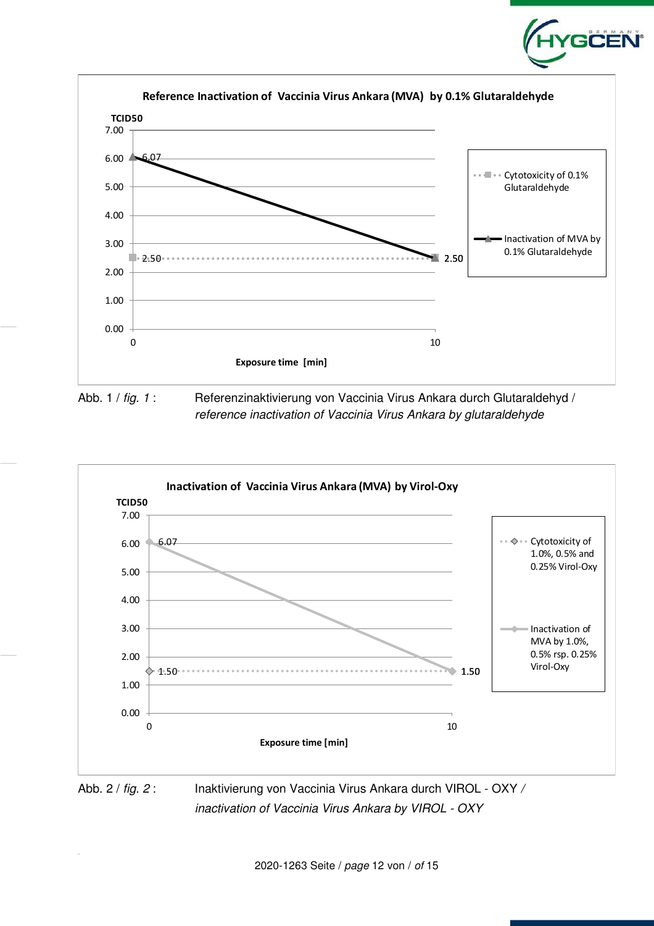



inactivation of Vaccinia Virus Ankara by VIROL - OXY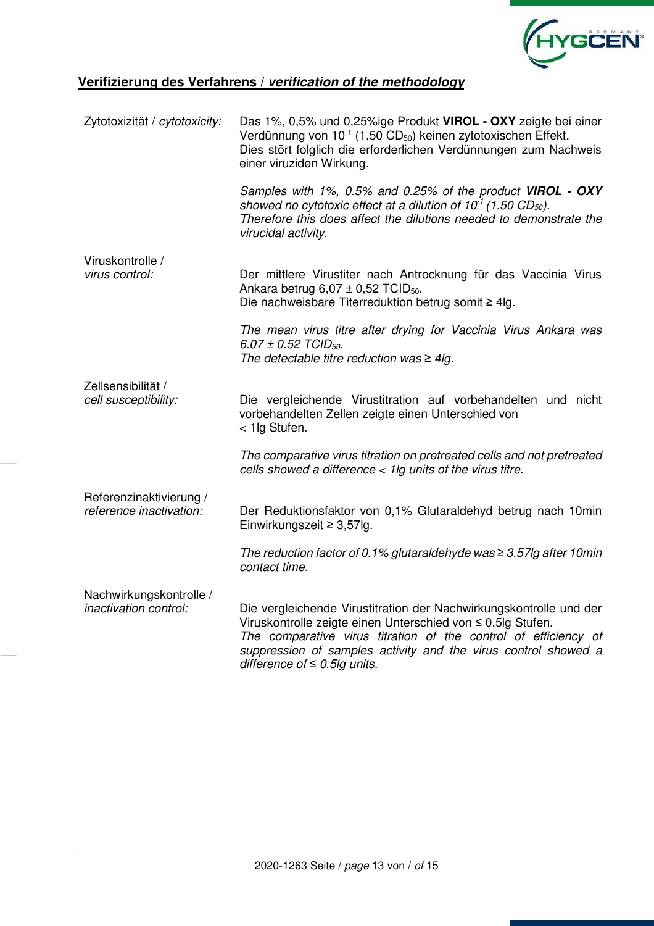

# **Verifizierung des Verfahrens /** *verification of the methodology*

| Zytotoxizität / cytotoxicity:                    | Das 1%, 0,5% und 0,25%ige Produkt VIROL - OXY zeigte bei einer<br>Verdünnung von $10^{-1}$ (1,50 CD <sub>50</sub> ) keinen zytotoxischen Effekt.<br>Dies stört folglich die erforderlichen Verdünnungen zum Nachweis<br>einer viruziden Wirkung. |
|--------------------------------------------------|--------------------------------------------------------------------------------------------------------------------------------------------------------------------------------------------------------------------------------------------------|
|                                                  | Samples with 1%, 0.5% and 0.25% of the product VIROL - OXY<br>showed no cytotoxic effect at a dilution of $10^{-1}$ (1.50 CD <sub>50</sub> ).<br>Therefore this does affect the dilutions needed to demonstrate the<br>virucidal activity.       |
| Viruskontrolle /                                 |                                                                                                                                                                                                                                                  |
| virus control:                                   | Der mittlere Virustiter nach Antrocknung für das Vaccinia Virus<br>Ankara betrug $6,07 \pm 0,52$ TCID <sub>50</sub> .                                                                                                                            |
|                                                  | Die nachweisbare Titerreduktion betrug somit $\geq 4$ lg.                                                                                                                                                                                        |
|                                                  | The mean virus titre after drying for Vaccinia Virus Ankara was<br>6.07 ± 0.52 TCID <sub>50</sub> .<br>The detectable titre reduction was $\geq 4$ lg.                                                                                           |
| Zellsensibilität /                               |                                                                                                                                                                                                                                                  |
| cell susceptibility:                             | Die vergleichende Virustitration auf vorbehandelten und nicht<br>vorbehandelten Zellen zeigte einen Unterschied von<br>< 1lg Stufen.                                                                                                             |
|                                                  | The comparative virus titration on pretreated cells and not pretreated<br>cells showed a difference $<$ 1lg units of the virus titre.                                                                                                            |
| Referenzinaktivierung /                          |                                                                                                                                                                                                                                                  |
| reference inactivation:                          | Der Reduktionsfaktor von 0,1% Glutaraldehyd betrug nach 10min<br>Einwirkungszeit $\geq$ 3,57lg.                                                                                                                                                  |
|                                                  | The reduction factor of 0.1% glutaraldehyde was $\geq$ 3.57lg after 10 min<br>contact time.                                                                                                                                                      |
| Nachwirkungskontrolle /<br>inactivation control: | Die vergleichende Virustitration der Nachwirkungskontrolle und der<br>Viruskontrolle zeigte einen Unterschied von ≤ 0,5lg Stufen.                                                                                                                |
|                                                  | The comparative virus titration of the control of efficiency of<br>suppression of samples activity and the virus control showed a<br>difference of $\leq 0.5$ lg units.                                                                          |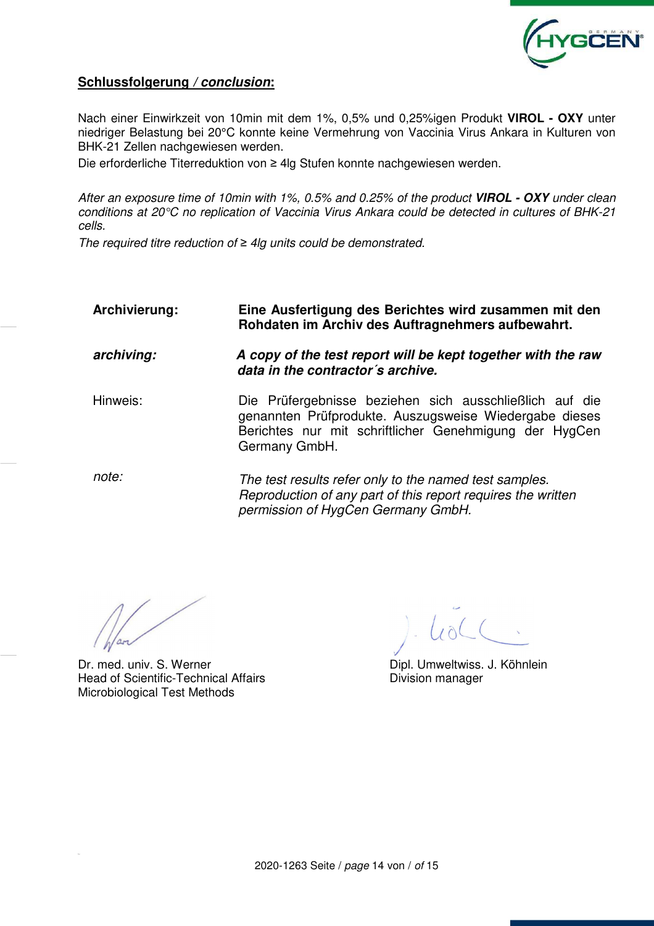

# **Schlussfolgerung** */ conclusion***:**

Nach einer Einwirkzeit von 10min mit dem 1%, 0,5% und 0,25%igen Produkt **VIROL - OXY** unter niedriger Belastung bei 20°C konnte keine Vermehrung von Vaccinia Virus Ankara in Kulturen von BHK-21 Zellen nachgewiesen werden.

Die erforderliche Titerreduktion von ≥ 4lg Stufen konnte nachgewiesen werden.

After an exposure time of 10min with 1%, 0.5% and 0.25% of the product *VIROL - OXY* under clean conditions at 20°C no replication of Vaccinia Virus Ankara could be detected in cultures of BHK-21 cells.

The required titre reduction of *≥* 4lg units could be demonstrated.

| Archivierung: | Eine Ausfertigung des Berichtes wird zusammen mit den<br>Rohdaten im Archiv des Auftragnehmers aufbewahrt.                                                                                   |
|---------------|----------------------------------------------------------------------------------------------------------------------------------------------------------------------------------------------|
| archiving:    | A copy of the test report will be kept together with the raw<br>data in the contractor's archive.                                                                                            |
| Hinweis:      | Die Prüfergebnisse beziehen sich ausschließlich auf die<br>genannten Prüfprodukte. Auszugsweise Wiedergabe dieses<br>Berichtes nur mit schriftlicher Genehmigung der HygCen<br>Germany GmbH. |
| note:         | The test results refer only to the named test samples.<br>Reproduction of any part of this report requires the written<br>permission of HygCen Germany GmbH.                                 |

Dr. med. univ. S. Werner **Dipl. Umweltwiss. J. Köhnlein** Head of Scientific-Technical Affairs **Example 20** Division manager Microbiological Test Methods

 $10L$